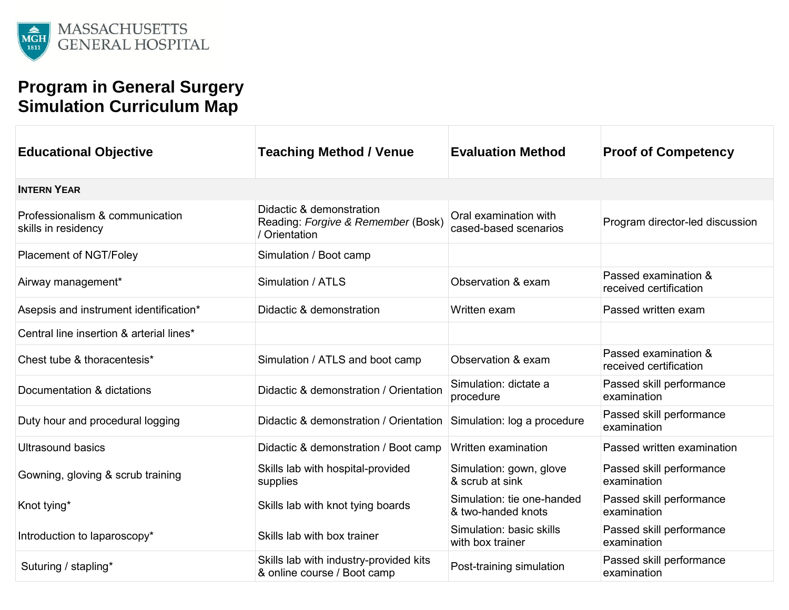

## **Program in General Surgery Simulation Curriculum Map**

| <b>Educational Objective</b>                           | <b>Teaching Method / Venue</b>                                                  | <b>Evaluation Method</b>                         | <b>Proof of Competency</b>                     |  |  |
|--------------------------------------------------------|---------------------------------------------------------------------------------|--------------------------------------------------|------------------------------------------------|--|--|
| <b>INTERN YEAR</b>                                     |                                                                                 |                                                  |                                                |  |  |
| Professionalism & communication<br>skills in residency | Didactic & demonstration<br>Reading: Forgive & Remember (Bosk)<br>/ Orientation | Oral examination with<br>cased-based scenarios   | Program director-led discussion                |  |  |
| Placement of NGT/Foley                                 | Simulation / Boot camp                                                          |                                                  |                                                |  |  |
| Airway management*                                     | Simulation / ATLS                                                               | Observation & exam                               | Passed examination &<br>received certification |  |  |
| Asepsis and instrument identification*                 | Didactic & demonstration                                                        | Written exam                                     | Passed written exam                            |  |  |
| Central line insertion & arterial lines*               |                                                                                 |                                                  |                                                |  |  |
| Chest tube & thoracentesis*                            | Simulation / ATLS and boot camp                                                 | Observation & exam                               | Passed examination &<br>received certification |  |  |
| Documentation & dictations                             | Didactic & demonstration / Orientation                                          | Simulation: dictate a<br>procedure               | Passed skill performance<br>examination        |  |  |
| Duty hour and procedural logging                       | Didactic & demonstration / Orientation                                          | Simulation: log a procedure                      | Passed skill performance<br>examination        |  |  |
| <b>Ultrasound basics</b>                               | Didactic & demonstration / Boot camp                                            | Written examination                              | Passed written examination                     |  |  |
| Gowning, gloving & scrub training                      | Skills lab with hospital-provided<br>supplies                                   | Simulation: gown, glove<br>& scrub at sink       | Passed skill performance<br>examination        |  |  |
| Knot tying*                                            | Skills lab with knot tying boards                                               | Simulation: tie one-handed<br>& two-handed knots | Passed skill performance<br>examination        |  |  |
| Introduction to laparoscopy*                           | Skills lab with box trainer                                                     | Simulation: basic skills<br>with box trainer     | Passed skill performance<br>examination        |  |  |
| Suturing / stapling*                                   | Skills lab with industry-provided kits<br>& online course / Boot camp           | Post-training simulation                         | Passed skill performance<br>examination        |  |  |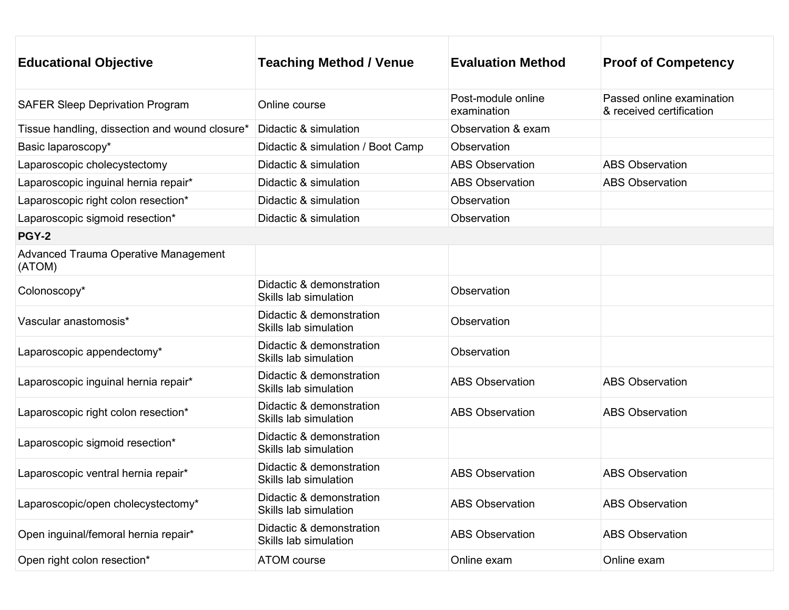| <b>Educational Objective</b>                   | <b>Teaching Method / Venue</b>                    | <b>Evaluation Method</b>          | <b>Proof of Competency</b>                            |
|------------------------------------------------|---------------------------------------------------|-----------------------------------|-------------------------------------------------------|
| <b>SAFER Sleep Deprivation Program</b>         | Online course                                     | Post-module online<br>examination | Passed online examination<br>& received certification |
| Tissue handling, dissection and wound closure* | Didactic & simulation                             | Observation & exam                |                                                       |
| Basic laparoscopy*                             | Didactic & simulation / Boot Camp                 | Observation                       |                                                       |
| Laparoscopic cholecystectomy                   | Didactic & simulation                             | <b>ABS Observation</b>            | <b>ABS Observation</b>                                |
| Laparoscopic inguinal hernia repair*           | Didactic & simulation                             | <b>ABS Observation</b>            | <b>ABS Observation</b>                                |
| Laparoscopic right colon resection*            | Didactic & simulation                             | Observation                       |                                                       |
| Laparoscopic sigmoid resection*                | Didactic & simulation                             | Observation                       |                                                       |
| <b>PGY-2</b>                                   |                                                   |                                   |                                                       |
| Advanced Trauma Operative Management<br>(ATOM) |                                                   |                                   |                                                       |
| Colonoscopy*                                   | Didactic & demonstration<br>Skills lab simulation | Observation                       |                                                       |
| Vascular anastomosis*                          | Didactic & demonstration<br>Skills lab simulation | Observation                       |                                                       |
| Laparoscopic appendectomy*                     | Didactic & demonstration<br>Skills lab simulation | Observation                       |                                                       |
| Laparoscopic inguinal hernia repair*           | Didactic & demonstration<br>Skills lab simulation | <b>ABS Observation</b>            | <b>ABS Observation</b>                                |
| Laparoscopic right colon resection*            | Didactic & demonstration<br>Skills lab simulation | <b>ABS Observation</b>            | <b>ABS Observation</b>                                |
| Laparoscopic sigmoid resection*                | Didactic & demonstration<br>Skills lab simulation |                                   |                                                       |
| Laparoscopic ventral hernia repair*            | Didactic & demonstration<br>Skills lab simulation | <b>ABS Observation</b>            | <b>ABS Observation</b>                                |
| Laparoscopic/open cholecystectomy*             | Didactic & demonstration<br>Skills lab simulation | <b>ABS Observation</b>            | <b>ABS Observation</b>                                |
| Open inguinal/femoral hernia repair*           | Didactic & demonstration<br>Skills lab simulation | <b>ABS Observation</b>            | <b>ABS Observation</b>                                |
| Open right colon resection*                    | <b>ATOM</b> course                                | Online exam                       | Online exam                                           |